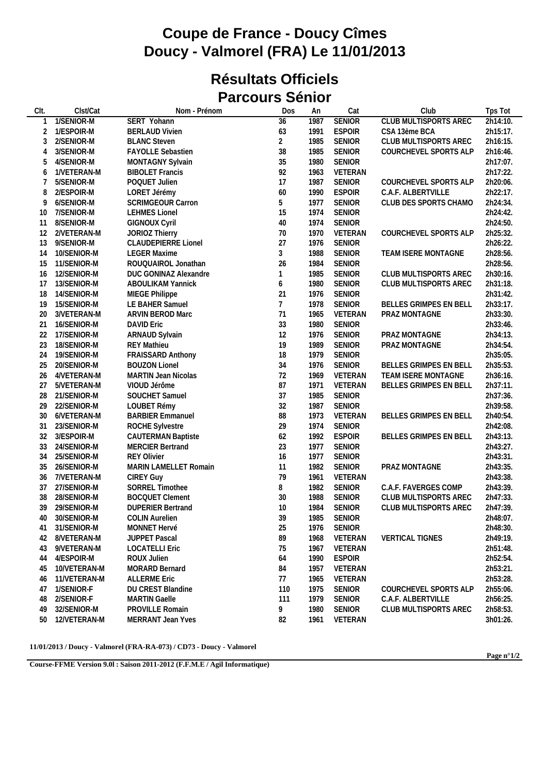## **Coupe de France - Doucy Cîmes Doucy - Valmorel (FRA) Le 11/01/2013**

## **Résultats Officiels Parcours Sénior**

| CIt. | Clst/Cat        | Nom - Prénom               | Dos             | An   | Cat           | Club                         | Tps Tot  |
|------|-----------------|----------------------------|-----------------|------|---------------|------------------------------|----------|
|      | 1/SENIOR-M      | SERT Yohann                | $\overline{36}$ | 1987 | <b>SENIOR</b> | <b>CLUB MULTISPORTS AREC</b> | 2h14:10. |
| 2    | 1/ESPOIR-M      | <b>BERLAUD Vivien</b>      | 63              | 1991 | <b>ESPOIR</b> | CSA 13ème BCA                | 2h15:17. |
| 3    | 2/SENIOR-M      | <b>BLANC Steven</b>        | $\overline{2}$  | 1985 | <b>SENIOR</b> | CLUB MULTISPORTS AREC        | 2h16:15. |
| 4    | 3/SENIOR-M      | FAYOLLE Sebastien          | 38              | 1985 | <b>SENIOR</b> | COURCHEVEL SPORTS ALP        | 2h16:46. |
| 5    | 4/SENIOR-M      | MONTAGNY Sylvain           | 35              | 1980 | <b>SENIOR</b> |                              | 2h17:07. |
| 6    | 1/VETERAN-M     | <b>BIBOLET Francis</b>     | 92              | 1963 | VETERAN       |                              | 2h17:22. |
|      | 5/SENIOR-M      | POQUET Julien              | 17              | 1987 | <b>SENIOR</b> | COURCHEVEL SPORTS ALP        | 2h20:06. |
| 8    | 2/ESPOIR-M      | LORET Jérémy               | 60              | 1990 | <b>ESPOIR</b> | C.A.F. ALBERTVILLE           | 2h22:17. |
| 9    | 6/SENIOR-M      | SCRIMGEOUR Carron          | 5               | 1977 | <b>SENIOR</b> | CLUB DES SPORTS CHAMO        | 2h24:34. |
| 10   | 7/SENIOR-M      | <b>LEHMES Lionel</b>       | 15              | 1974 | <b>SENIOR</b> |                              | 2h24:42. |
| 11   | 8/SENIOR-M      | <b>GIGNOUX Cyril</b>       | 40              | 1974 | SENIOR        |                              | 2h24:50. |
| 12   | 2/VETERAN-M     | JORIOZ Thierry             | $70\,$          | 1970 | VETERAN       | COURCHEVEL SPORTS ALP        | 2h25:32. |
| 13   | 9/SENIOR-M      | <b>CLAUDEPIERRE Lionel</b> | 27              | 1976 | <b>SENIOR</b> |                              | 2h26:22. |
| 14   | 10/SENIOR-M     | <b>LEGER Maxime</b>        | 3               | 1988 | <b>SENIOR</b> | TEAM ISERE MONTAGNE          | 2h28:56. |
| 15   | 11/SENIOR-M     | ROUQUAIROL Jonathan        | 26              | 1984 | <b>SENIOR</b> |                              | 2h28:56. |
| 16   | 12/SENIOR-M     | DUC GONINAZ Alexandre      | $\mathbf{1}$    | 1985 | <b>SENIOR</b> | CLUB MULTISPORTS AREC        | 2h30:16. |
| 17   | 13/SENIOR-M     | ABOULIKAM Yannick          | 6               | 1980 | <b>SENIOR</b> | CLUB MULTISPORTS AREC        | 2h31:18. |
| 18   | 14/SENIOR-M     | MIEGE Philippe             | 21              | 1976 | <b>SENIOR</b> |                              | 2h31:42. |
| 19   | 15/SENIOR-M     | LE BAHER Samuel            | $\overline{7}$  | 1978 | <b>SENIOR</b> | BELLES GRIMPES EN BELL       | 2h33:17. |
| 20   | 3/VETERAN-M     | ARVIN BEROD Marc           | 71              | 1965 | VETERAN       | PRAZ MONTAGNE                | 2h33:30. |
| 21   | 16/SENIOR-M     | <b>DAVID Eric</b>          | 33              | 1980 | <b>SENIOR</b> |                              | 2h33:46. |
| 22   | 17/SENIOR-M     | ARNAUD Sylvain             | 12              | 1976 | <b>SENIOR</b> | PRAZ MONTAGNE                | 2h34:13. |
| 23   | 18/SENIOR-M     | <b>REY Mathieu</b>         | 19              | 1989 | <b>SENIOR</b> | PRAZ MONTAGNE                | 2h34:54. |
| 24   | 19/SENIOR-M     | FRAISSARD Anthony          | 18              | 1979 | <b>SENIOR</b> |                              | 2h35:05. |
| 25   | 20/SENIOR-M     | <b>BOUZON Lionel</b>       | 34              | 1976 | SENIOR        | BELLES GRIMPES EN BELL       | 2h35:53. |
| 26   | 4/VETERAN-M     | MARTIN Jean Nicolas        | 72              | 1969 | VETERAN       | TEAM ISERE MONTAGNE          | 2h36:16. |
| 27   | 5/VETERAN-M     | VIOUD Jérôme               | 87              | 1971 | VETERAN       | BELLES GRIMPES EN BELL       | 2h37:11. |
| 28   | 21/SENIOR-M     | SOUCHET Samuel             | 37              | 1985 | SENIOR        |                              | 2h37:36. |
| 29   | 22/SENIOR-M     | LOUBET Rémy                | 32              | 1987 | <b>SENIOR</b> |                              | 2h39:58. |
| 30   | 6/VETERAN-M     | <b>BARBIER Emmanuel</b>    | 88              | 1973 | VETERAN       | BELLES GRIMPES EN BELL       | 2h40:54. |
| 31   | 23/SENIOR-M     | ROCHE Sylvestre            | 29              | 1974 | <b>SENIOR</b> |                              | 2h42:08. |
| 32   | 3/ESPOIR-M      | <b>CAUTERMAN Baptiste</b>  | 62              | 1992 | <b>ESPOIR</b> | BELLES GRIMPES EN BELL       | 2h43:13. |
| 33   | 24/SENIOR-M     | <b>MERCIER Bertrand</b>    | 23              | 1977 | <b>SENIOR</b> |                              | 2h43:27. |
| 34   | 25/SENIOR-M     | <b>REY Olivier</b>         | 16              | 1977 | <b>SENIOR</b> |                              | 2h43:31. |
| 35   | 26/SENIOR-M     | MARIN LAMELLET Romain      | 11              | 1982 | <b>SENIOR</b> | PRAZ MONTAGNE                | 2h43:35. |
| 36   | 7/VETERAN-M     | <b>CIREY Guy</b>           | 79              | 1961 | VETERAN       |                              | 2h43:38. |
| 37   | 27/SENIOR-M     | SORREL Timothee            | 8               | 1982 | SENIOR        | C.A.F. FAVERGES COMP         | 2h43:39. |
| 38   | 28/SENIOR-M     | <b>BOCQUET Clement</b>     | 30              | 1988 | <b>SENIOR</b> | CLUB MULTISPORTS AREC        | 2h47:33. |
| 39   | 29/SENIOR-M     | <b>DUPERIER Bertrand</b>   | 10              | 1984 | <b>SENIOR</b> | CLUB MULTISPORTS AREC        | 2h47:39. |
| 40   | 30/SENIOR-M     | <b>COLIN Aurelien</b>      | 39              | 1985 | SENIOR        |                              | 2h48:07. |
| 41   | 31/SENIOR-M     | MONNET Hervé               | 25              | 1976 | <b>SENIOR</b> |                              | 2h48:30. |
| 42   | 8/VETERAN-M     | <b>JUPPET Pascal</b>       | 89              | 1968 | VETERAN       | <b>VERTICAL TIGNES</b>       | 2h49:19. |
| 43   | 9/VETERAN-M     | <b>LOCATELLI Eric</b>      | 75              | 1967 | VETERAN       |                              | 2h51:48. |
| 44   | 4/ESPOIR-M      | ROUX Julien                | 64              | 1990 | <b>ESPOIR</b> |                              | 2h52:54. |
| 45   | 10/VETERAN-M    | <b>MORARD Bernard</b>      | 84              | 1957 | VETERAN       |                              | 2h53:21. |
| 46   | 11/VETERAN-M    | <b>ALLERME Eric</b>        | 77              | 1965 | VETERAN       |                              | 2h53:28. |
| 47   | 1/SENIOR-F      | DU CREST Blandine          | 110             | 1975 | <b>SENIOR</b> | COURCHEVEL SPORTS ALP        | 2h55:06. |
| 48   | 2/SENIOR-F      | <b>MARTIN Gaelle</b>       | 111             | 1979 | <b>SENIOR</b> | C.A.F. ALBERTVILLE           | 2h56:25. |
| 49   | 32/SENIOR-M     | PROVILLE Romain            | 9               | 1980 | <b>SENIOR</b> | CLUB MULTISPORTS AREC        | 2h58:53. |
|      | 50 12/VETERAN-M | MERRANT Jean Yves          | 82              | 1961 | VETERAN       |                              | 3h01:26. |

**11/01/2013 / Doucy - Valmorel (FRA-RA-073) / CD73 - Doucy - Valmorel**

**Page n°1/2**

**Course-FFME Version 9.0l : Saison 2011-2012 (F.F.M.E / Agil Informatique)**